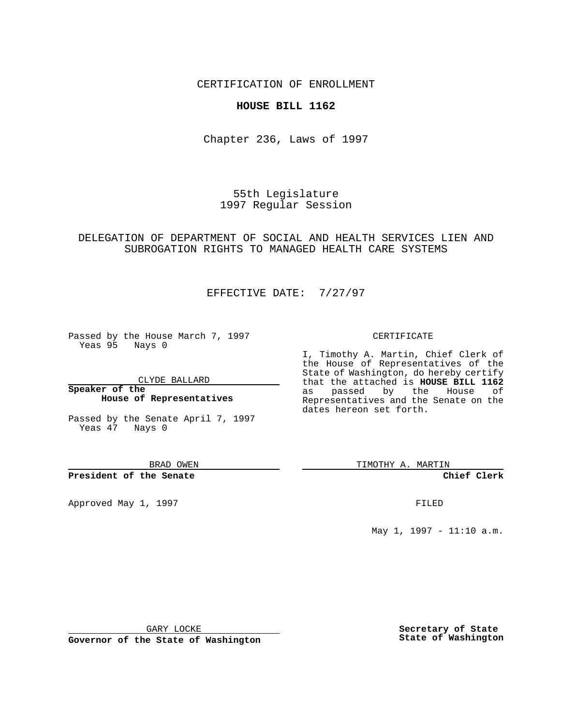CERTIFICATION OF ENROLLMENT

## **HOUSE BILL 1162**

Chapter 236, Laws of 1997

55th Legislature 1997 Regular Session

DELEGATION OF DEPARTMENT OF SOCIAL AND HEALTH SERVICES LIEN AND SUBROGATION RIGHTS TO MANAGED HEALTH CARE SYSTEMS

EFFECTIVE DATE: 7/27/97

Passed by the House March 7, 1997 Yeas 95 Nays 0

CLYDE BALLARD

**Speaker of the House of Representatives**

Passed by the Senate April 7, 1997 Yeas 47 Nays 0

BRAD OWEN

**President of the Senate**

Approved May 1, 1997 **FILED** 

CERTIFICATE

I, Timothy A. Martin, Chief Clerk of the House of Representatives of the State of Washington, do hereby certify that the attached is **HOUSE BILL 1162** as passed by the House of Representatives and the Senate on the dates hereon set forth.

TIMOTHY A. MARTIN

**Chief Clerk**

May 1, 1997 - 11:10 a.m.

GARY LOCKE

**Governor of the State of Washington**

**Secretary of State State of Washington**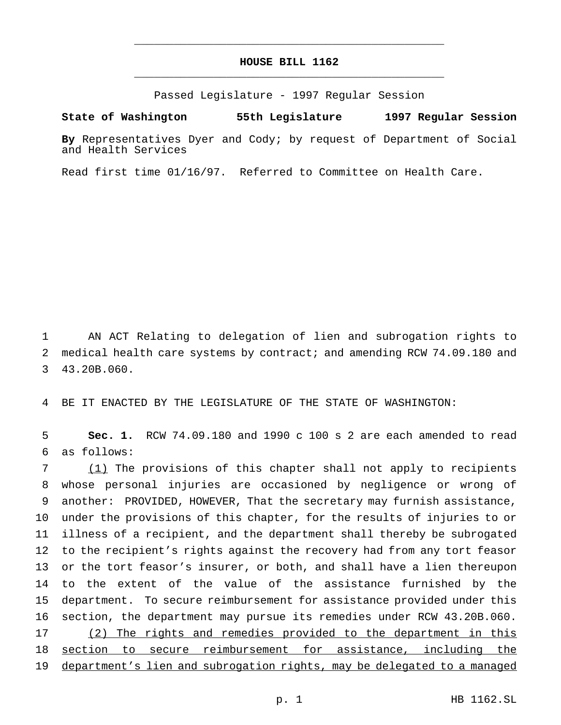## **HOUSE BILL 1162** \_\_\_\_\_\_\_\_\_\_\_\_\_\_\_\_\_\_\_\_\_\_\_\_\_\_\_\_\_\_\_\_\_\_\_\_\_\_\_\_\_\_\_\_\_\_\_

\_\_\_\_\_\_\_\_\_\_\_\_\_\_\_\_\_\_\_\_\_\_\_\_\_\_\_\_\_\_\_\_\_\_\_\_\_\_\_\_\_\_\_\_\_\_\_

Passed Legislature - 1997 Regular Session

## **State of Washington 55th Legislature 1997 Regular Session**

**By** Representatives Dyer and Cody; by request of Department of Social and Health Services

Read first time 01/16/97. Referred to Committee on Health Care.

 AN ACT Relating to delegation of lien and subrogation rights to medical health care systems by contract; and amending RCW 74.09.180 and 43.20B.060.

BE IT ENACTED BY THE LEGISLATURE OF THE STATE OF WASHINGTON:

 **Sec. 1.** RCW 74.09.180 and 1990 c 100 s 2 are each amended to read as follows:

 (1) The provisions of this chapter shall not apply to recipients whose personal injuries are occasioned by negligence or wrong of another: PROVIDED, HOWEVER, That the secretary may furnish assistance, under the provisions of this chapter, for the results of injuries to or illness of a recipient, and the department shall thereby be subrogated to the recipient's rights against the recovery had from any tort feasor or the tort feasor's insurer, or both, and shall have a lien thereupon to the extent of the value of the assistance furnished by the department. To secure reimbursement for assistance provided under this section, the department may pursue its remedies under RCW 43.20B.060. (2) The rights and remedies provided to the department in this section to secure reimbursement for assistance, including the department's lien and subrogation rights, may be delegated to a managed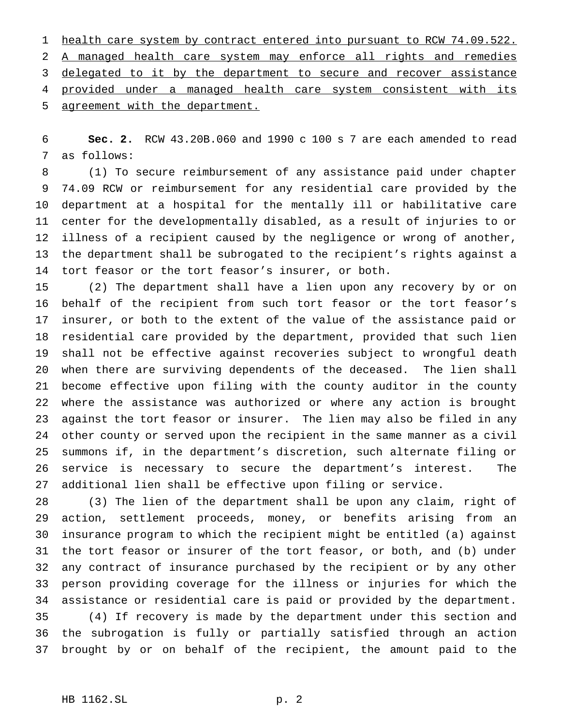1 health care system by contract entered into pursuant to RCW 74.09.522. A managed health care system may enforce all rights and remedies 3 delegated to it by the department to secure and recover assistance provided under a managed health care system consistent with its agreement with the department.

 **Sec. 2.** RCW 43.20B.060 and 1990 c 100 s 7 are each amended to read as follows:

 (1) To secure reimbursement of any assistance paid under chapter 74.09 RCW or reimbursement for any residential care provided by the department at a hospital for the mentally ill or habilitative care center for the developmentally disabled, as a result of injuries to or illness of a recipient caused by the negligence or wrong of another, the department shall be subrogated to the recipient's rights against a tort feasor or the tort feasor's insurer, or both.

 (2) The department shall have a lien upon any recovery by or on behalf of the recipient from such tort feasor or the tort feasor's insurer, or both to the extent of the value of the assistance paid or residential care provided by the department, provided that such lien shall not be effective against recoveries subject to wrongful death when there are surviving dependents of the deceased. The lien shall become effective upon filing with the county auditor in the county where the assistance was authorized or where any action is brought against the tort feasor or insurer. The lien may also be filed in any other county or served upon the recipient in the same manner as a civil summons if, in the department's discretion, such alternate filing or service is necessary to secure the department's interest. The additional lien shall be effective upon filing or service.

 (3) The lien of the department shall be upon any claim, right of action, settlement proceeds, money, or benefits arising from an insurance program to which the recipient might be entitled (a) against the tort feasor or insurer of the tort feasor, or both, and (b) under any contract of insurance purchased by the recipient or by any other person providing coverage for the illness or injuries for which the assistance or residential care is paid or provided by the department. (4) If recovery is made by the department under this section and the subrogation is fully or partially satisfied through an action brought by or on behalf of the recipient, the amount paid to the